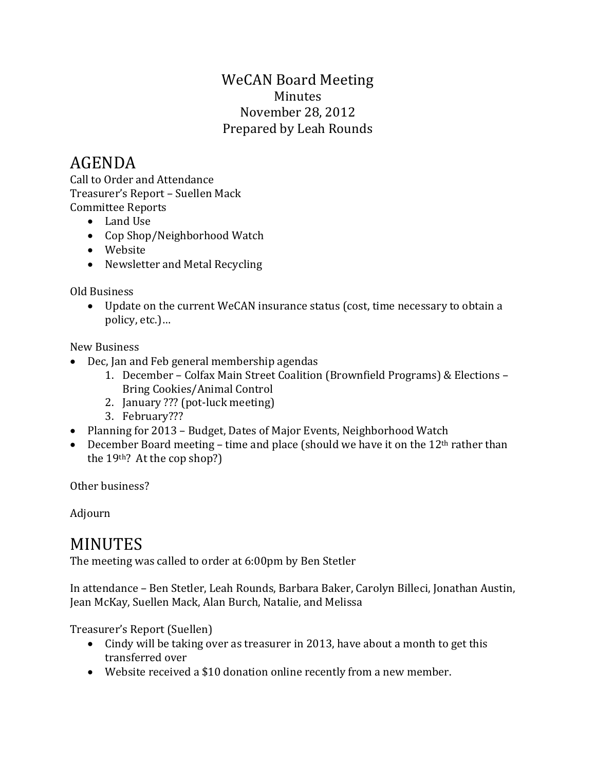### WeCAN Board Meeting Minutes November 28, 2012 Prepared by Leah Rounds

# AGENDA

Call to Order and Attendance Treasurer's Report – Suellen Mack Committee Reports

- Land Use
- Cop Shop/Neighborhood Watch
- Website
- Newsletter and Metal Recycling

Old Business

• Update on the current WeCAN insurance status (cost, time necessary to obtain a policy, etc.)…

New Business

- Dec, Jan and Feb general membership agendas
	- 1. December Colfax Main Street Coalition (Brownfield Programs) & Elections Bring Cookies/Animal Control
	- 2. January ??? (pot-luck meeting)
	- 3. February???
- Planning for 2013 Budget, Dates of Major Events, Neighborhood Watch
- December Board meeting time and place (should we have it on the  $12<sup>th</sup>$  rather than the 19th? At the cop shop?)

Other business?

Adjourn

## MINUTES

The meeting was called to order at 6:00pm by Ben Stetler

In attendance – Ben Stetler, Leah Rounds, Barbara Baker, Carolyn Billeci, Jonathan Austin, Jean McKay, Suellen Mack, Alan Burch, Natalie, and Melissa

Treasurer's Report (Suellen)

- Cindy will be taking over as treasurer in 2013, have about a month to get this transferred over
- Website received a \$10 donation online recently from a new member.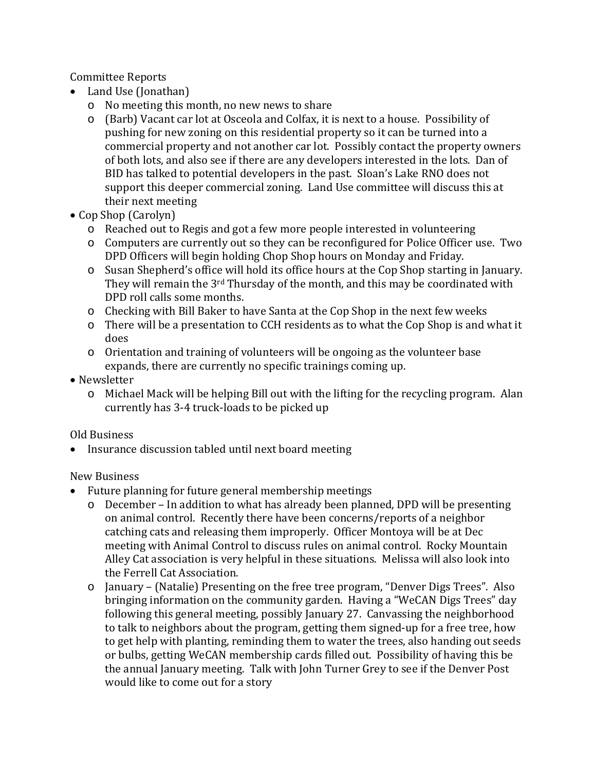Committee Reports

- Land Use (Jonathan)
	- o No meeting this month, no new news to share
	- o (Barb) Vacant car lot at Osceola and Colfax, it is next to a house. Possibility of pushing for new zoning on this residential property so it can be turned into a commercial property and not another car lot. Possibly contact the property owners of both lots, and also see if there are any developers interested in the lots. Dan of BID has talked to potential developers in the past. Sloan's Lake RNO does not support this deeper commercial zoning. Land Use committee will discuss this at their next meeting
- Cop Shop (Carolyn)
	- o Reached out to Regis and got a few more people interested in volunteering
	- o Computers are currently out so they can be reconfigured for Police Officer use. Two DPD Officers will begin holding Chop Shop hours on Monday and Friday.
	- o Susan Shepherd's office will hold its office hours at the Cop Shop starting in January. They will remain the 3rd Thursday of the month, and this may be coordinated with DPD roll calls some months.
	- o Checking with Bill Baker to have Santa at the Cop Shop in the next few weeks
	- o There will be a presentation to CCH residents as to what the Cop Shop is and what it does
	- o Orientation and training of volunteers will be ongoing as the volunteer base expands, there are currently no specific trainings coming up.
- Newsletter
	- o Michael Mack will be helping Bill out with the lifting for the recycling program. Alan currently has 3-4 truck-loads to be picked up

### Old Business

• Insurance discussion tabled until next board meeting

### New Business

- Future planning for future general membership meetings
	- o December In addition to what has already been planned, DPD will be presenting on animal control. Recently there have been concerns/reports of a neighbor catching cats and releasing them improperly. Officer Montoya will be at Dec meeting with Animal Control to discuss rules on animal control. Rocky Mountain Alley Cat association is very helpful in these situations. Melissa will also look into the Ferrell Cat Association.
	- o January (Natalie) Presenting on the free tree program, "Denver Digs Trees". Also bringing information on the community garden. Having a "WeCAN Digs Trees" day following this general meeting, possibly January 27. Canvassing the neighborhood to talk to neighbors about the program, getting them signed-up for a free tree, how to get help with planting, reminding them to water the trees, also handing out seeds or bulbs, getting WeCAN membership cards filled out. Possibility of having this be the annual January meeting. Talk with John Turner Grey to see if the Denver Post would like to come out for a story